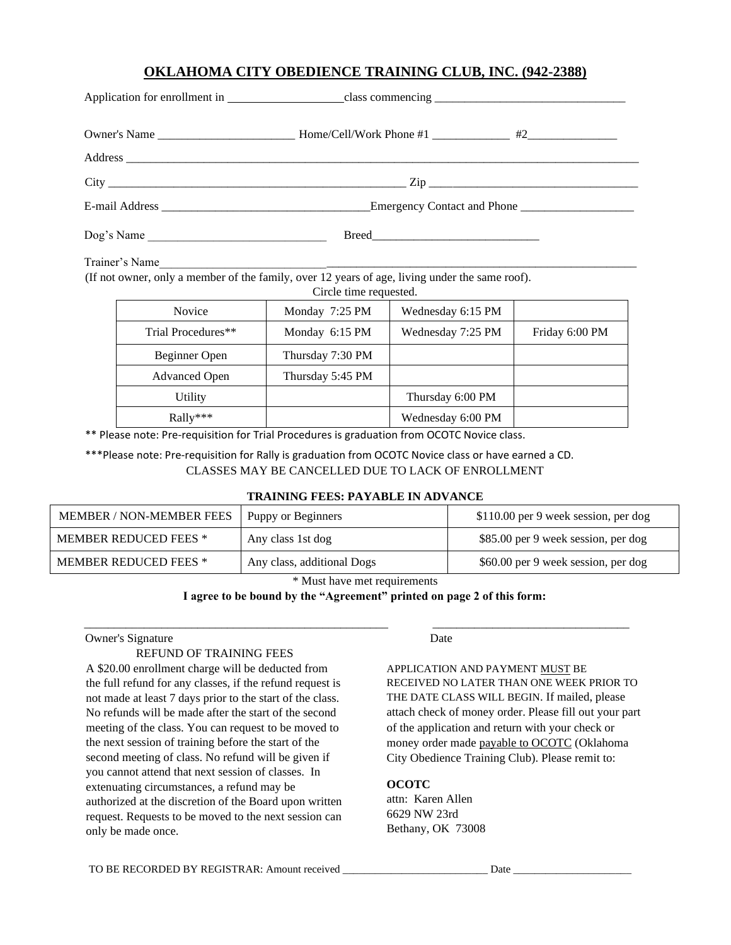# **OKLAHOMA CITY OBEDIENCE TRAINING CLUB, INC. (942-2388)**

|            | Emergency Contact and Phone |  |
|------------|-----------------------------|--|
| Dog's Name |                             |  |

Trainer's Name\_\_\_\_\_\_\_\_\_\_\_\_\_\_\_\_\_\_\_\_\_\_\_\_\_\_\_\_\_\_\_\_\_\_\_\_\_\_\_\_\_\_\_\_\_\_\_\_\_\_\_\_\_\_\_\_\_\_\_\_\_\_\_\_\_\_\_\_\_\_\_\_\_\_\_\_\_\_\_\_

(If not owner, only a member of the family, over 12 years of age, living under the same roof).

| Circle time requested. |                  |                   |                |  |
|------------------------|------------------|-------------------|----------------|--|
| <b>Novice</b>          | Monday 7:25 PM   | Wednesday 6:15 PM |                |  |
| Trial Procedures**     | Monday 6:15 PM   | Wednesday 7:25 PM | Friday 6:00 PM |  |
| Beginner Open          | Thursday 7:30 PM |                   |                |  |
| <b>Advanced Open</b>   | Thursday 5:45 PM |                   |                |  |
| Utility                |                  | Thursday 6:00 PM  |                |  |
| $Rally***$             |                  | Wednesday 6:00 PM |                |  |

\*\* Please note: Pre‐requisition for Trial Procedures is graduation from OCOTC Novice class.

\*\*\*Please note: Pre‐requisition for Rally is graduation from OCOTC Novice class or have earned a CD. CLASSES MAY BE CANCELLED DUE TO LACK OF ENROLLMENT

### **TRAINING FEES: PAYABLE IN ADVANCE**

| <b>MEMBER / NON-MEMBER FEES</b> | Puppy or Beginners         | \$110.00 per 9 week session, per dog |
|---------------------------------|----------------------------|--------------------------------------|
| <b>MEMBER REDUCED FEES *</b>    | Any class 1st dog          | \$85.00 per 9 week session, per dog  |
| <b>MEMBER REDUCED FEES *</b>    | Any class, additional Dogs | \$60.00 per 9 week session, per dog  |

\* Must have met requirements

#### **I agree to be bound by the "Agreement" printed on page 2 of this form:**

\_\_\_\_\_\_\_\_\_\_\_\_\_\_\_\_\_\_\_\_\_\_\_\_\_\_\_\_\_\_\_\_\_\_\_\_\_\_\_\_\_\_\_\_\_\_\_\_\_\_\_ \_\_\_\_\_\_\_\_\_\_\_\_\_\_\_\_\_\_\_\_\_\_\_\_\_\_\_\_\_\_\_\_\_

### Owner's Signature Date

### REFUND OF TRAINING FEES

A \$20.00 enrollment charge will be deducted from the full refund for any classes, if the refund request is not made at least 7 days prior to the start of the class. No refunds will be made after the start of the second meeting of the class. You can request to be moved to the next session of training before the start of the second meeting of class. No refund will be given if you cannot attend that next session of classes. In extenuating circumstances, a refund may be authorized at the discretion of the Board upon written request. Requests to be moved to the next session can only be made once.

APPLICATION AND PAYMENT MUST BE RECEIVED NO LATER THAN ONE WEEK PRIOR TO THE DATE CLASS WILL BEGIN. If mailed, please attach check of money order. Please fill out your part of the application and return with your check or money order made payable to OCOTC (Oklahoma City Obedience Training Club). Please remit to:

### **OCOTC**

attn: Karen Allen 6629 NW 23rd Bethany, OK 73008